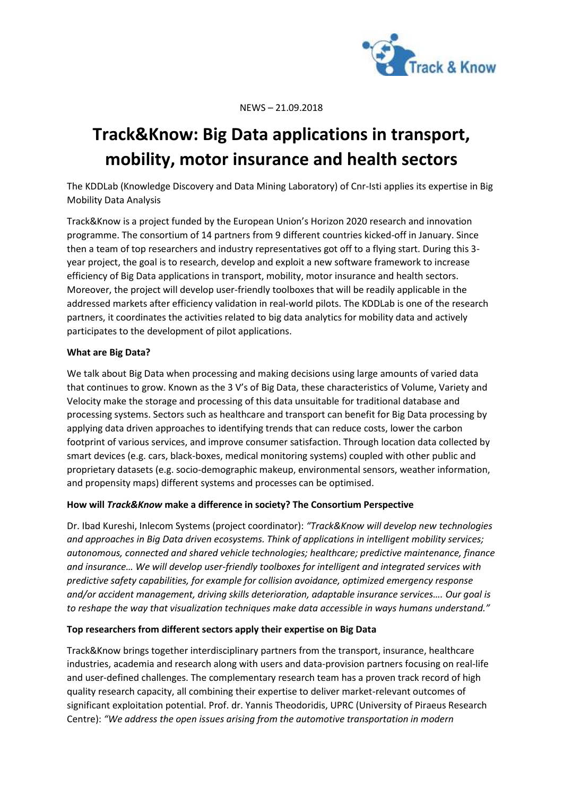

NEWS – 21.09.2018

# **Track&Know: Big Data applications in transport, mobility, motor insurance and health sectors**

The KDDLab (Knowledge Discovery and Data Mining Laboratory) of Cnr-Isti applies its expertise in Big Mobility Data Analysis

Track&Know is a project funded by the European Union's Horizon 2020 research and innovation programme. The consortium of 14 partners from 9 different countries kicked-off in January. Since then a team of top researchers and industry representatives got off to a flying start. During this 3 year project, the goal is to research, develop and exploit a new software framework to increase efficiency of Big Data applications in transport, mobility, motor insurance and health sectors. Moreover, the project will develop user-friendly toolboxes that will be readily applicable in the addressed markets after efficiency validation in real-world pilots. The KDDLab is one of the research partners, it coordinates the activities related to big data analytics for mobility data and actively participates to the development of pilot applications.

## **What are Big Data?**

We talk about Big Data when processing and making decisions using large amounts of varied data that continues to grow. Known as the 3 V's of Big Data, these characteristics of Volume, Variety and Velocity make the storage and processing of this data unsuitable for traditional database and processing systems. Sectors such as healthcare and transport can benefit for Big Data processing by applying data driven approaches to identifying trends that can reduce costs, lower the carbon footprint of various services, and improve consumer satisfaction. Through location data collected by smart devices (e.g. cars, black-boxes, medical monitoring systems) coupled with other public and proprietary datasets (e.g. socio-demographic makeup, environmental sensors, weather information, and propensity maps) different systems and processes can be optimised.

## **How will** *Track&Know* **make a difference in society? The Consortium Perspective**

Dr. Ibad Kureshi, Inlecom Systems (project coordinator): *"Track&Know will develop new technologies and approaches in Big Data driven ecosystems. Think of applications in intelligent mobility services; autonomous, connected and shared vehicle technologies; healthcare; predictive maintenance, finance and insurance… We will develop user-friendly toolboxes for intelligent and integrated services with predictive safety capabilities, for example for collision avoidance, optimized emergency response and/or accident management, driving skills deterioration, adaptable insurance services…. Our goal is to reshape the way that visualization techniques make data accessible in ways humans understand."*

### **Top researchers from different sectors apply their expertise on Big Data**

Track&Know brings together interdisciplinary partners from the transport, insurance, healthcare industries, academia and research along with users and data-provision partners focusing on real-life and user-defined challenges. The complementary research team has a proven track record of high quality research capacity, all combining their expertise to deliver market-relevant outcomes of significant exploitation potential. Prof. dr. Yannis Theodoridis, UPRC (University of Piraeus Research Centre): *"We address the open issues arising from the automotive transportation in modern*